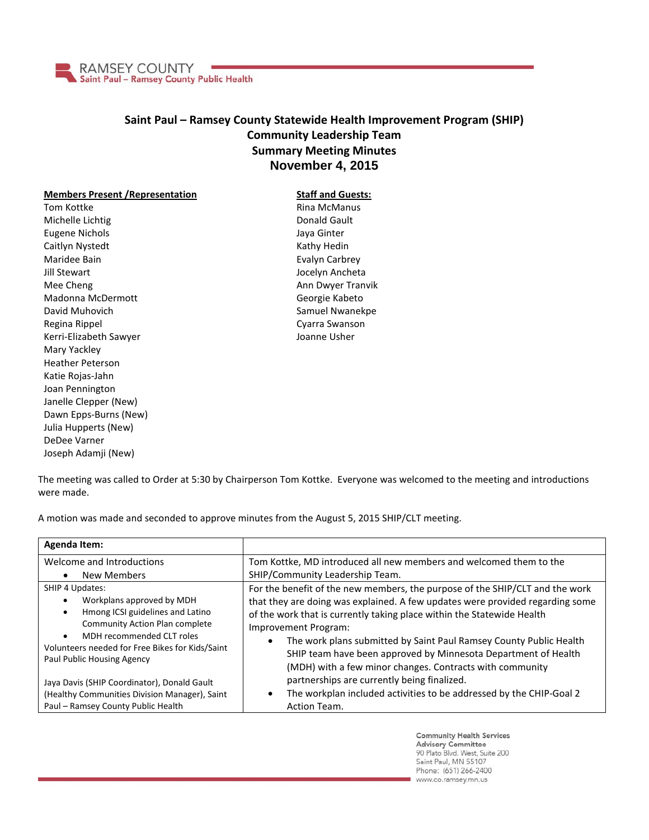

## **Saint Paul – Ramsey County Statewide Health Improvement Program (SHIP) Community Leadership Team Summary Meeting Minutes November 4, 2015**

## **Members Present /Representation**

Tom Kottke Michelle Lichtig Eugene Nichols Caitlyn Nystedt Maridee Bain Jill Stewart Mee Cheng Madonna McDermott David Muhovich Regina Rippel Kerri-Elizabeth Sawyer Mary Yackley Heather Peterson Katie Rojas-Jahn Joan Pennington Janelle Clepper (New) Dawn Epps-Burns (New) Julia Hupperts (New) DeDee Varner Joseph Adamji (New)

**Staff and Guests:** Rina McManus Donald Gault Jaya Ginter Kathy Hedin Evalyn Carbrey Jocelyn Ancheta Ann Dwyer Tranvik Georgie Kabeto Samuel Nwanekpe Cyarra Swanson Joanne Usher

The meeting was called to Order at 5:30 by Chairperson Tom Kottke. Everyone was welcomed to the meeting and introductions were made.

A motion was made and seconded to approve minutes from the August 5, 2015 SHIP/CLT meeting.

| Agenda Item:                                                                                                                                                                                                                                                                   |                                                                                                                                                                                                                                                                                                                                                                                                                                                                                  |
|--------------------------------------------------------------------------------------------------------------------------------------------------------------------------------------------------------------------------------------------------------------------------------|----------------------------------------------------------------------------------------------------------------------------------------------------------------------------------------------------------------------------------------------------------------------------------------------------------------------------------------------------------------------------------------------------------------------------------------------------------------------------------|
| Welcome and Introductions<br>New Members<br>$\bullet$                                                                                                                                                                                                                          | Tom Kottke, MD introduced all new members and welcomed them to the<br>SHIP/Community Leadership Team.                                                                                                                                                                                                                                                                                                                                                                            |
| SHIP 4 Updates:<br>Workplans approved by MDH<br>$\bullet$<br>Hmong ICSI guidelines and Latino<br>$\bullet$<br><b>Community Action Plan complete</b><br>MDH recommended CLT roles<br>$\bullet$<br>Volunteers needed for Free Bikes for Kids/Saint<br>Paul Public Housing Agency | For the benefit of the new members, the purpose of the SHIP/CLT and the work<br>that they are doing was explained. A few updates were provided regarding some<br>of the work that is currently taking place within the Statewide Health<br>Improvement Program:<br>The work plans submitted by Saint Paul Ramsey County Public Health<br>$\bullet$<br>SHIP team have been approved by Minnesota Department of Health<br>(MDH) with a few minor changes. Contracts with community |
| Jaya Davis (SHIP Coordinator), Donald Gault<br>(Healthy Communities Division Manager), Saint<br>Paul - Ramsey County Public Health                                                                                                                                             | partnerships are currently being finalized.<br>The workplan included activities to be addressed by the CHIP-Goal 2<br>$\bullet$<br>Action Team.                                                                                                                                                                                                                                                                                                                                  |

**Community Health Services Advisory Committee** 90 Plato Blvd. West, Suite 200 Saint Paul, MN 55107 Phone: (651) 266-2400 www.co.ramsey.mn.us